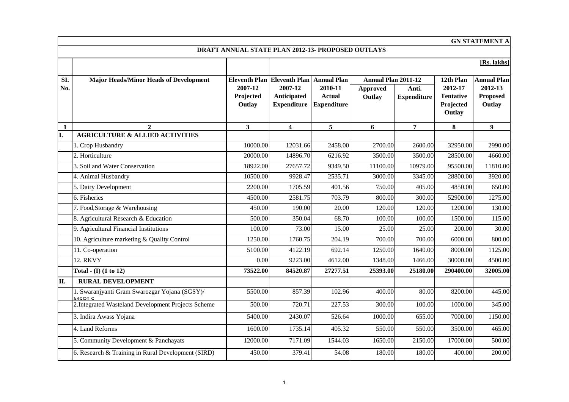|              | <b>GN STATEMENT A</b>                                          |                                |                                              |                                                |                            |                             |                                                    |                                      |  |  |  |
|--------------|----------------------------------------------------------------|--------------------------------|----------------------------------------------|------------------------------------------------|----------------------------|-----------------------------|----------------------------------------------------|--------------------------------------|--|--|--|
|              | DRAFT ANNUAL STATE PLAN 2012-13- PROPOSED OUTLAYS              |                                |                                              |                                                |                            |                             |                                                    |                                      |  |  |  |
|              |                                                                |                                |                                              |                                                |                            |                             |                                                    | $[Rs.$ lakhs $]$                     |  |  |  |
| SI.          | <b>Major Heads/Minor Heads of Development</b>                  |                                | Eleventh Plan Eleventh Plan Annual Plan      |                                                | <b>Annual Plan 2011-12</b> |                             | 12th Plan                                          | <b>Annual Plan</b>                   |  |  |  |
| No.          |                                                                | 2007-12<br>Projected<br>Outlay | 2007-12<br>Anticipated<br><b>Expenditure</b> | 2010-11<br><b>Actual</b><br><b>Expenditure</b> | <b>Approved</b><br>Outlay  | Anti.<br><b>Expenditure</b> | 2012-17<br><b>Tentative</b><br>Projected<br>Outlay | 2012-13<br><b>Proposed</b><br>Outlay |  |  |  |
| $\mathbf{1}$ | $\mathbf{2}$                                                   | 3                              | $\overline{\mathbf{4}}$                      | 5                                              | 6                          | $\overline{7}$              | 8                                                  | $\boldsymbol{9}$                     |  |  |  |
| I.           | <b>AGRICULTURE &amp; ALLIED ACTIVITIES</b>                     |                                |                                              |                                                |                            |                             |                                                    |                                      |  |  |  |
|              | 1. Crop Husbandry                                              | 10000.00                       | 12031.66                                     | 2458.00                                        | 2700.00                    | 2600.00                     | 32950.00                                           | 2990.00                              |  |  |  |
|              | 2. Horticulture                                                | 20000.00                       | 14896.70                                     | 6216.92                                        | 3500.00                    | 3500.00                     | 28500.00                                           | 4660.00                              |  |  |  |
|              | 3. Soil and Water Conservation                                 | 18922.00                       | 27657.72                                     | 9349.50                                        | 11100.00                   | 10979.00                    | 95500.00                                           | 11810.00                             |  |  |  |
|              | 4. Animal Husbandry                                            | 10500.00                       | 9928.47                                      | 2535.71                                        | 3000.00                    | 3345.00                     | 28800.00                                           | 3920.00                              |  |  |  |
|              | 5. Dairy Development                                           | 2200.00                        | 1705.59                                      | 401.56                                         | 750.00                     | 405.00                      | 4850.00                                            | 650.00                               |  |  |  |
|              | 6. Fisheries                                                   | 4500.00                        | 2581.75                                      | 703.79                                         | 800.00                     | 300.00                      | 52900.00                                           | 1275.00                              |  |  |  |
|              | 7. Food, Storage & Warehousing                                 | 450.00                         | 190.00                                       | 20.00                                          | 120.00                     | 120.00                      | 1200.00                                            | 130.00                               |  |  |  |
|              | 8. Agricultural Research & Education                           | 500.00                         | 350.04                                       | 68.70                                          | 100.00                     | 100.00                      | 1500.00                                            | 115.00                               |  |  |  |
|              | 9. Agricultural Financial Institutions                         | 100.00                         | 73.00                                        | 15.00                                          | 25.00                      | 25.00                       | 200.00                                             | 30.00                                |  |  |  |
|              | 10. Agriculture marketing & Quality Control                    | 1250.00                        | 1760.75                                      | 204.19                                         | 700.00                     | 700.00                      | 6000.00                                            | 800.00                               |  |  |  |
|              | 11. Co-operation                                               | 5100.00                        | 4122.19                                      | 692.14                                         | 1250.00                    | 1640.00                     | 8000.00                                            | 1125.00                              |  |  |  |
|              | <b>12. RKVY</b>                                                | 0.00                           | 9223.00                                      | 4612.00                                        | 1348.00                    | 1466.00                     | 30000.00                                           | 4500.00                              |  |  |  |
|              | Total - $(I)$ $(1 to 12)$                                      | 73522.00                       | 84520.87                                     | 27277.51                                       | 25393.00                   | 25180.00                    | 290400.00                                          | 32005.00                             |  |  |  |
| II.          | <b>RURAL DEVELOPMENT</b>                                       |                                |                                              |                                                |                            |                             |                                                    |                                      |  |  |  |
|              | 1. Swaranjyanti Gram Swarozgar Yojana (SGSY)/<br><b>MCDI C</b> | 5500.00                        | 857.39                                       | 102.96                                         | 400.00                     | 80.00                       | 8200.00                                            | 445.00                               |  |  |  |
|              | 2. Integrated Wasteland Development Projects Scheme            | 500.00                         | 720.71                                       | 227.53                                         | 300.00                     | 100.00                      | 1000.00                                            | 345.00                               |  |  |  |
|              | 3. Indira Awass Yojana                                         | 5400.00                        | 2430.07                                      | 526.64                                         | 1000.00                    | 655.00                      | 7000.00                                            | 1150.00                              |  |  |  |
|              | 4. Land Reforms                                                | 1600.00                        | 1735.14                                      | 405.32                                         | 550.00                     | 550.00                      | 3500.00                                            | 465.00                               |  |  |  |
|              | 5. Community Development & Panchayats                          | 12000.00                       | 7171.09                                      | 1544.03                                        | 1650.00                    | 2150.00                     | 17000.00                                           | 500.00                               |  |  |  |
|              | 6. Research & Training in Rural Development (SIRD)             | 450.00                         | 379.41                                       | 54.08                                          | 180.00                     | 180.00                      | 400.00                                             | 200.00                               |  |  |  |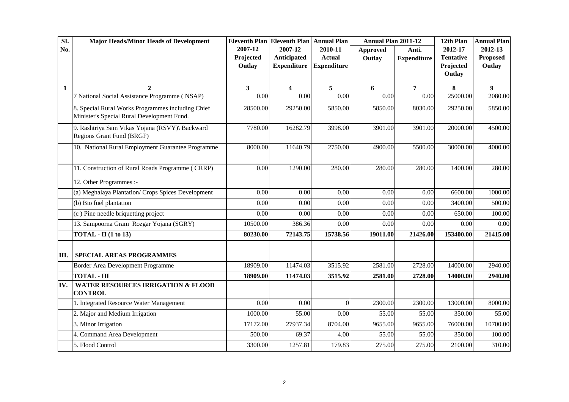| SI.          | <b>Major Heads/Minor Heads of Development</b>                                                   | Eleventh Plan Eleventh Plan Annual Plan |                                              |                                                | Annual Plan 2011-12 |                             | 12th Plan                                          | <b>Annual Plan</b>                   |
|--------------|-------------------------------------------------------------------------------------------------|-----------------------------------------|----------------------------------------------|------------------------------------------------|---------------------|-----------------------------|----------------------------------------------------|--------------------------------------|
| No.          |                                                                                                 | 2007-12<br>Projected<br>Outlay          | 2007-12<br>Anticipated<br><b>Expenditure</b> | 2010-11<br><b>Actual</b><br><b>Expenditure</b> | Approved<br>Outlay  | Anti.<br><b>Expenditure</b> | 2012-17<br><b>Tentative</b><br>Projected<br>Outlay | 2012-13<br><b>Proposed</b><br>Outlay |
| $\mathbf{1}$ | $\mathbf{2}$                                                                                    | 3 <sup>1</sup>                          | $\overline{\mathbf{4}}$                      | 5                                              | 6                   | 7                           | 8                                                  | 9                                    |
|              | 7 National Social Assistance Programme (NSAP)                                                   | 0.00                                    | 0.00                                         | 0.00                                           | 0.00                | 0.00                        | 25000.00                                           | 2080.00                              |
|              | 8. Special Rural Works Programmes including Chief<br>Minister's Special Rural Development Fund. | 28500.00                                | 29250.00                                     | 5850.00                                        | 5850.00             | 8030.00                     | 29250.00                                           | 5850.00                              |
|              | 9. Rashtriya Sam Vikas Yojana (RSVY)\ Backward<br>Regions Grant Fund (BRGF)                     | 7780.00                                 | 16282.79                                     | 3998.00                                        | 3901.00             | 3901.00                     | 20000.00                                           | 4500.00                              |
|              | 10. National Rural Employment Guarantee Programme                                               | 8000.00                                 | 11640.79                                     | 2750.00                                        | 4900.00             | 5500.00                     | 30000.00                                           | 4000.00                              |
|              | 11. Construction of Rural Roads Programme (CRRP)                                                | 0.00                                    | 1290.00                                      | 280.00                                         | 280.00              | 280.00                      | 1400.00                                            | 280.00                               |
|              | 12. Other Programmes :-                                                                         |                                         |                                              |                                                |                     |                             |                                                    |                                      |
|              | (a) Meghalaya Plantation/ Crops Spices Development                                              | 0.00                                    | 0.00                                         | 0.00                                           | 0.00                | 0.00                        | 6600.00                                            | 1000.00                              |
|              | (b) Bio fuel plantation                                                                         | 0.00                                    | 0.00                                         | 0.00                                           | 0.00                | 0.00                        | 3400.00                                            | 500.00                               |
|              | (c) Pine needle briquetting project                                                             | 0.00                                    | 0.00                                         | 0.00                                           | 0.00                | 0.00                        | 650.00                                             | 100.00                               |
|              | 13. Sampoorna Gram Rozgar Yojana (SGRY)                                                         | 10500.00                                | 386.36                                       | 0.00                                           | 0.00                | 0.00                        | 0.00                                               | 0.00                                 |
|              | $TOTAL - II (1 to 13)$                                                                          | 80230.00                                | 72143.75                                     | 15738.56                                       | 19011.00            | 21426.00                    | 153400.00                                          | 21415.00                             |
| Ш.           | <b>SPECIAL AREAS PROGRAMMES</b>                                                                 |                                         |                                              |                                                |                     |                             |                                                    |                                      |
|              | Border Area Development Programme                                                               | 18909.00                                | 11474.03                                     | 3515.92                                        | 2581.00             | 2728.00                     | 14000.00                                           | 2940.00                              |
|              | <b>TOTAL - III</b>                                                                              | 18909.00                                | 11474.03                                     | 3515.92                                        | 2581.00             | 2728.00                     | 14000.00                                           | 2940.00                              |
| IV.          | <b>WATER RESOURCES IRRIGATION &amp; FLOOD</b><br><b>CONTROL</b>                                 |                                         |                                              |                                                |                     |                             |                                                    |                                      |
|              | 1. Integrated Resource Water Management                                                         | 0.00                                    | 0.00                                         | $\boldsymbol{0}$                               | 2300.00             | 2300.00                     | 13000.00                                           | 8000.00                              |
|              | 2. Major and Medium Irrigation                                                                  | 1000.00                                 | 55.00                                        | 0.00                                           | 55.00               | 55.00                       | 350.00                                             | 55.00                                |
|              | 3. Minor Irrigation                                                                             | 17172.00                                | 27937.34                                     | 8704.00                                        | 9655.00             | 9655.00                     | 76000.00                                           | 10700.00                             |
|              | 4. Command Area Development                                                                     | 500.00                                  | 69.37                                        | 4.00                                           | 55.00               | 55.00                       | 350.00                                             | 100.00                               |
|              | 5. Flood Control                                                                                | 3300.00                                 | 1257.81                                      | 179.83                                         | 275.00              | 275.00                      | 2100.00                                            | 310.00                               |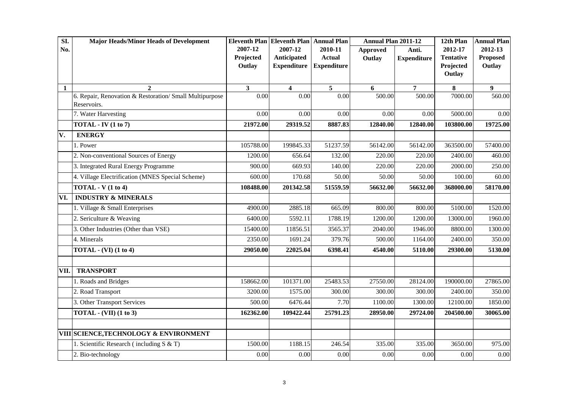| SI.  | <b>Major Heads/Minor Heads of Development</b>                          |           | <b>Eleventh Plan Eleventh Plan</b> | <b>Annual Plan</b> | Annual Plan 2011-12 |                    | 12th Plan           | <b>Annual Plan</b> |
|------|------------------------------------------------------------------------|-----------|------------------------------------|--------------------|---------------------|--------------------|---------------------|--------------------|
| No.  |                                                                        | 2007-12   | 2007-12                            | 2010-11            | <b>Approved</b>     | Anti.              | 2012-17             | 2012-13            |
|      |                                                                        | Projected | Anticipated                        | <b>Actual</b>      | Outlay              | <b>Expenditure</b> | <b>Tentative</b>    | <b>Proposed</b>    |
|      |                                                                        | Outlay    | <b>Expenditure</b>                 | <b>Expenditure</b> |                     |                    | Projected<br>Outlay | Outlay             |
|      |                                                                        |           |                                    |                    |                     |                    |                     |                    |
| 1    | $\mathbf{2}$                                                           | 3         | $\overline{\mathbf{4}}$            | 5                  | 6                   | 7                  | 8                   | 9                  |
|      | 6. Repair, Renovation & Restoration/ Small Multipurpose<br>Reservoirs. | 0.00      | 0.00                               | 0.00               | 500.00              | 500.00             | 7000.00             | 560.00             |
|      | 7. Water Harvesting                                                    | 0.00      | 0.00                               | 0.00               | 0.00                | 0.00               | 5000.00             | 0.00               |
|      | $TOTAL - IV (1 to 7)$                                                  | 21972.00  | 29319.52                           | 8887.83            | 12840.00            | 12840.00           | 103800.00           | 19725.00           |
| V.   | <b>ENERGY</b>                                                          |           |                                    |                    |                     |                    |                     |                    |
|      | 1. Power                                                               | 105788.00 | 199845.33                          | 51237.59           | 56142.00            | 56142.00           | 363500.00           | 57400.00           |
|      | 2. Non-conventional Sources of Energy                                  | 1200.00   | 656.64                             | 132.00             | 220.00              | 220.00             | 2400.00             | 460.00             |
|      | 3. Integrated Rural Energy Programme                                   | 900.00    | 669.93                             | 140.00             | 220.00              | 220.00             | 2000.00             | 250.00             |
|      | 4. Village Electrification (MNES Special Scheme)                       | 600.00    | 170.68                             | 50.00              | 50.00               | 50.00              | 100.00              | 60.00              |
|      | $TOTAL - V (1 to 4)$                                                   | 108488.00 | 201342.58                          | 51559.59           | 56632.00            | 56632.00           | 368000.00           | 58170.00           |
| VI.  | <b>INDUSTRY &amp; MINERALS</b>                                         |           |                                    |                    |                     |                    |                     |                    |
|      | 1. Village & Small Enterprises                                         | 4900.00   | 2885.18                            | 665.09             | 800.00              | 800.00             | 5100.00             | 1520.00            |
|      | 2. Sericulture & Weaving                                               | 6400.00   | 5592.11                            | 1788.19            | 1200.00             | 1200.00            | 13000.00            | 1960.00            |
|      | 3. Other Industries (Other than VSE)                                   | 15400.00  | 11856.51                           | 3565.37            | 2040.00             | 1946.00            | 8800.00             | 1300.00            |
|      | 4. Minerals                                                            | 2350.00   | 1691.24                            | 379.76             | 500.00              | 1164.00            | 2400.00             | 350.00             |
|      | TOTAL - $(VI)$ (1 to 4)                                                | 29050.00  | 22025.04                           | 6398.41            | 4540.00             | 5110.00            | 29300.00            | 5130.00            |
|      |                                                                        |           |                                    |                    |                     |                    |                     |                    |
| VII. | <b>TRANSPORT</b>                                                       |           |                                    |                    |                     |                    |                     |                    |
|      | 1. Roads and Bridges                                                   | 158662.00 | 101371.00                          | 25483.53           | 27550.00            | 28124.00           | 190000.00           | 27865.00           |
|      | 2. Road Transport                                                      | 3200.00   | 1575.00                            | 300.00             | 300.00              | 300.00             | 2400.00             | 350.00             |
|      | 3. Other Transport Services                                            | 500.00    | 6476.44                            | 7.70               | 1100.00             | 1300.00            | 12100.00            | 1850.00            |
|      | <b>TOTAL - (VII) (1 to 3)</b>                                          | 162362.00 | 109422.44                          | 25791.23           | 28950.00            | 29724.00           | 204500.00           | 30065.00           |
|      | <b>VIII SCIENCE, TECHNOLOGY &amp; ENVIRONMENT</b>                      |           |                                    |                    |                     |                    |                     |                    |
|      | 1. Scientific Research (including $S & T$ )                            | 1500.00   | 1188.15                            | 246.54             | 335.00              | 335.00             | 3650.00             | 975.00             |
|      | 2. Bio-technology                                                      | 0.00      | 0.00                               | 0.00               | 0.00                | 0.00               | 0.00                | 0.00               |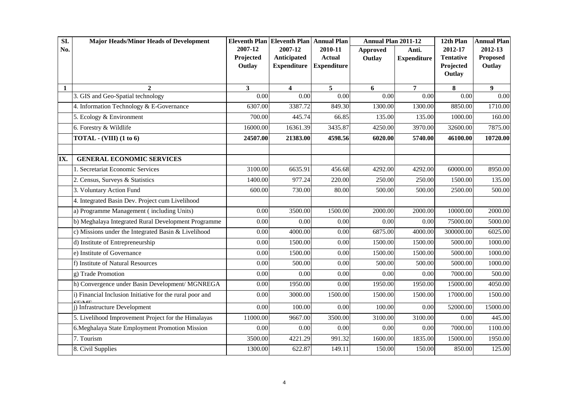| SI. | <b>Major Heads/Minor Heads of Development</b>            |                      | Eleventh Plan Eleventh Plan Annual Plan |                          | <b>Annual Plan 2011-12</b> |                             | 12th Plan                   | <b>Annual Plan</b>         |
|-----|----------------------------------------------------------|----------------------|-----------------------------------------|--------------------------|----------------------------|-----------------------------|-----------------------------|----------------------------|
| No. |                                                          | 2007-12<br>Projected | 2007-12<br><b>Anticipated</b>           | 2010-11<br><b>Actual</b> | <b>Approved</b><br>Outlay  | Anti.<br><b>Expenditure</b> | 2012-17<br><b>Tentative</b> | 2012-13<br><b>Proposed</b> |
|     |                                                          | Outlay               | <b>Expenditure</b>                      | <b>Expenditure</b>       |                            |                             | Projected                   | Outlay                     |
|     |                                                          |                      |                                         |                          |                            |                             | Outlay                      |                            |
| 1   | $\overline{2}$                                           | 3                    | 4                                       | 5                        | 6                          | 7                           | 8                           | 9                          |
|     | 3. GIS and Geo-Spatial technology                        | 0.00                 | 0.00                                    | 0.00                     | 0.00                       | 0.00                        | 0.00                        | 0.00                       |
|     | 4. Information Technology & E-Governance                 | 6307.00              | 3387.72                                 | 849.30                   | 1300.00                    | 1300.00                     | 8850.00                     | 1710.00                    |
|     | 5. Ecology & Environment                                 | 700.00               | 445.74                                  | 66.85                    | 135.00                     | 135.00                      | 1000.00                     | 160.00                     |
|     | 6. Forestry & Wildlife                                   | 16000.00             | 16361.39                                | 3435.87                  | 4250.00                    | 3970.00                     | 32600.00                    | 7875.00                    |
|     | TOTAL - $(VIII)$ (1 to 6)                                | 24507.00             | 21383.00                                | 4598.56                  | 6020.00                    | 5740.00                     | 46100.00                    | 10720.00                   |
|     |                                                          |                      |                                         |                          |                            |                             |                             |                            |
| IX. | <b>GENERAL ECONOMIC SERVICES</b>                         |                      |                                         |                          |                            |                             |                             |                            |
|     | 1. Secretariat Economic Services                         | 3100.00              | 6635.91                                 | 456.68                   | 4292.00                    | 4292.00                     | 60000.00                    | 8950.00                    |
|     | 2. Census, Surveys & Statistics                          | 1400.00              | 977.24                                  | 220.00                   | 250.00                     | 250.00                      | 1500.00                     | 135.00                     |
|     | 3. Voluntary Action Fund                                 | 600.00               | 730.00                                  | 80.00                    | 500.00                     | 500.00                      | 2500.00                     | 500.00                     |
|     | 4. Integrated Basin Dev. Project cum Livelihood          |                      |                                         |                          |                            |                             |                             |                            |
|     | a) Programme Management (including Units)                | 0.00                 | 3500.00                                 | 1500.00                  | 2000.00                    | 2000.00                     | 10000.00                    | 2000.00                    |
|     | b) Meghalaya Integrated Rural Development Programme      | 0.00                 | 0.00                                    | 0.00                     | 0.00                       | 0.00                        | 75000.00                    | 5000.00                    |
|     | c) Missions under the Integrated Basin & Livelihood      | 0.00                 | 4000.00                                 | 0.00                     | 6875.00                    | 4000.00                     | 300000.00                   | 6025.00                    |
|     | d) Institute of Entrepreneurship                         | 0.00                 | 1500.00                                 | 0.00                     | 1500.00                    | 1500.00                     | 5000.00                     | 1000.00                    |
|     | e) Institute of Governance                               | 0.00                 | 1500.00                                 | 0.00                     | 1500.00                    | 1500.00                     | 5000.00                     | 1000.00                    |
|     | f) Institute of Natural Resources                        | 0.00                 | 500.00                                  | 0.00                     | 500.00                     | 500.00                      | 5000.00                     | 1000.00                    |
|     | g) Trade Promotion                                       | 0.00                 | 0.00                                    | 0.00                     | 0.00                       | 0.00                        | 7000.00                     | 500.00                     |
|     | h) Convergence under Basin Development/ MGNREGA          | 0.00                 | 1950.00                                 | 0.00                     | 1950.00                    | 1950.00                     | 15000.00                    | 4050.00                    |
|     | i) Financial Inclusion Initiative for the rural poor and | 0.00                 | 3000.00                                 | 1500.00                  | 1500.00                    | 1500.00                     | 17000.00                    | 1500.00                    |
|     | j) Infrastructure Development                            | 0.00                 | 100.00                                  | 0.00                     | 100.00                     | 0.00                        | 52000.00                    | 15000.00                   |
|     | 5. Livelihood Improvement Project for the Himalayas      | 11000.00             | 9667.00                                 | 3500.00                  | 3100.00                    | 3100.00                     | 0.00                        | 445.00                     |
|     | 6. Meghalaya State Employment Promotion Mission          | 0.00                 | 0.00                                    | 0.00                     | 0.00                       | 0.00                        | 7000.00                     | 1100.00                    |
|     | 7. Tourism                                               | 3500.00              | 4221.29                                 | 991.32                   | 1600.00                    | 1835.00                     | 15000.00                    | 1950.00                    |
|     | 8. Civil Supplies                                        | 1300.00              | 622.87                                  | 149.11                   | 150.00                     | 150.00                      | 850.00                      | 125.00                     |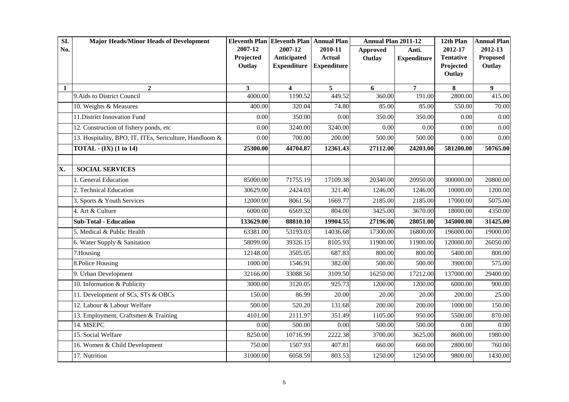| SI. | <b>Major Heads/Minor Heads of Development</b>           |           | Eleventh Plan Eleventh Plan Annual Plan |                    | Annual Plan 2011-12 |                    | 12th Plan        | <b>Annual Plan</b> |
|-----|---------------------------------------------------------|-----------|-----------------------------------------|--------------------|---------------------|--------------------|------------------|--------------------|
| No. |                                                         | 2007-12   | 2007-12                                 | 2010-11            | <b>Approved</b>     | Anti.              | 2012-17          | 2012-13            |
|     |                                                         | Projected | Anticipated                             | <b>Actual</b>      | Outlay              | <b>Expenditure</b> | <b>Tentative</b> | <b>Proposed</b>    |
|     |                                                         | Outlay    | <b>Expenditure</b>                      | <b>Expenditure</b> |                     |                    | Projected        | Outlay             |
|     |                                                         |           |                                         |                    |                     |                    | Outlay           |                    |
| 1   | $\mathbf{2}$                                            | 3         | $\overline{\mathbf{4}}$                 | 5                  | 6                   | 7                  | 8                | 9                  |
|     | 9. Aids to District Council                             | 4000.00   | 1190.52                                 | 449.52             | 360.00              | 191.00             | 2800.00          | 415.00             |
|     | 10. Weights & Measures                                  | 400.00    | 320.04                                  | 74.80              | 85.00               | 85.00              | 550.00           | 70.00              |
|     | 11. District Innovation Fund                            | 0.00      | 350.00                                  | 0.00               | 350.00              | 350.00             | 0.00             | 0.00               |
|     | 12. Construction of fishery ponds, etc                  | 0.00      | 3240.00                                 | 3240.00            | 0.00                | 0.00               | 0.00             | 0.00               |
|     | 13. Hospitality, BPO, IT, ITEs, Sericulture, Handloom & | 0.00      | 700.00                                  | 200.00             | 500.00              | 500.00             | 0.00             | 0.00               |
|     | TOTAL - $(IX)$ $(1 to 14)$                              | 25300.00  | 44704.87                                | 12361.43           | 27112.00            | 24203.00           | 581200.00        | 50765.00           |
|     |                                                         |           |                                         |                    |                     |                    |                  |                    |
| X.  | <b>SOCIAL SERVICES</b>                                  |           |                                         |                    |                     |                    |                  |                    |
|     | 1. General Education                                    | 85000.00  | 71755.19                                | 17109.38           | 20340.00            | 20950.00           | 300000.00        | 20800.00           |
|     | 2. Technical Education                                  | 30629.00  | 2424.03                                 | 321.40             | 1246.00             | 1246.00            | 10000.00         | 1200.00            |
|     | 3. Sports & Youth Services                              | 12000.00  | 8061.56                                 | 1669.77            | 2185.00             | 2185.00            | 17000.00         | 5075.00            |
|     | 4. Art & Culture                                        | 6000.00   | 6569.32                                 | 804.00             | 3425.00             | 3670.00            | 18000.00         | 4350.00            |
|     | <b>Sub-Total - Education</b>                            | 133629.00 | 88810.10                                | 19904.55           | 27196.00            | 28051.00           | 345000.00        | 31425.00           |
|     | 5. Medical & Public Health                              | 63381.00  | 53193.03                                | 14036.68           | 17300.00            | 16800.00           | 196000.00        | 19000.00           |
|     | 6. Water Supply & Sanitation                            | 58099.00  | 39326.15                                | 8105.93            | 11900.00            | 11900.00           | 120000.00        | 26050.00           |
|     | 7.Housing                                               | 12148.00  | 3505.05                                 | 687.83             | 800.00              | 800.00             | 5400.00          | 800.00             |
|     | 8. Police Housing                                       | 1000.00   | 1546.91                                 | 382.00             | 500.00              | 500.00             | 3900.00          | 575.00             |
|     | 9. Urban Development                                    | 32166.00  | 33088.56                                | 3109.50            | 16250.00            | 17212.00           | 137000.00        | 29400.00           |
|     | 10. Information & Publicity                             | 3000.00   | 3120.05                                 | 925.73             | 1200.00             | 1200.00            | 6000.00          | 900.00             |
|     | 11. Development of SCs, STs & OBCs                      | 150.00    | 86.99                                   | 20.00              | 20.00               | 20.00              | 200.00           | 25.00              |
|     | 12. Labour & Labour Welfare                             | 500.00    | 520.20                                  | 131.68             | 200.00              | 200.00             | 1000.00          | 150.00             |
|     | 13. Employment, Craftsmen & Training                    | 4101.00   | 2111.97                                 | 351.49             | 1105.00             | 950.00             | 5500.00          | 870.00             |
|     | 14. MSEPC                                               | 0.00      | 500.00                                  | 0.00               | 500.00              | 500.00             | 0.00             | 0.00               |
|     | 15. Social Welfare                                      | 8250.00   | 10716.99                                | 2222.38            | 3700.00             | 3625.00            | 8600.00          | 1980.00            |
|     | 16. Women & Child Development                           | 750.00    | 1507.93                                 | 407.81             | 660.00              | 660.00             | 2800.00          | 760.00             |
|     | 17. Nutrition                                           | 31000.00  | 6058.59                                 | 803.53             | 1250.00             | 1250.00            | 9800.00          | 1430.00            |